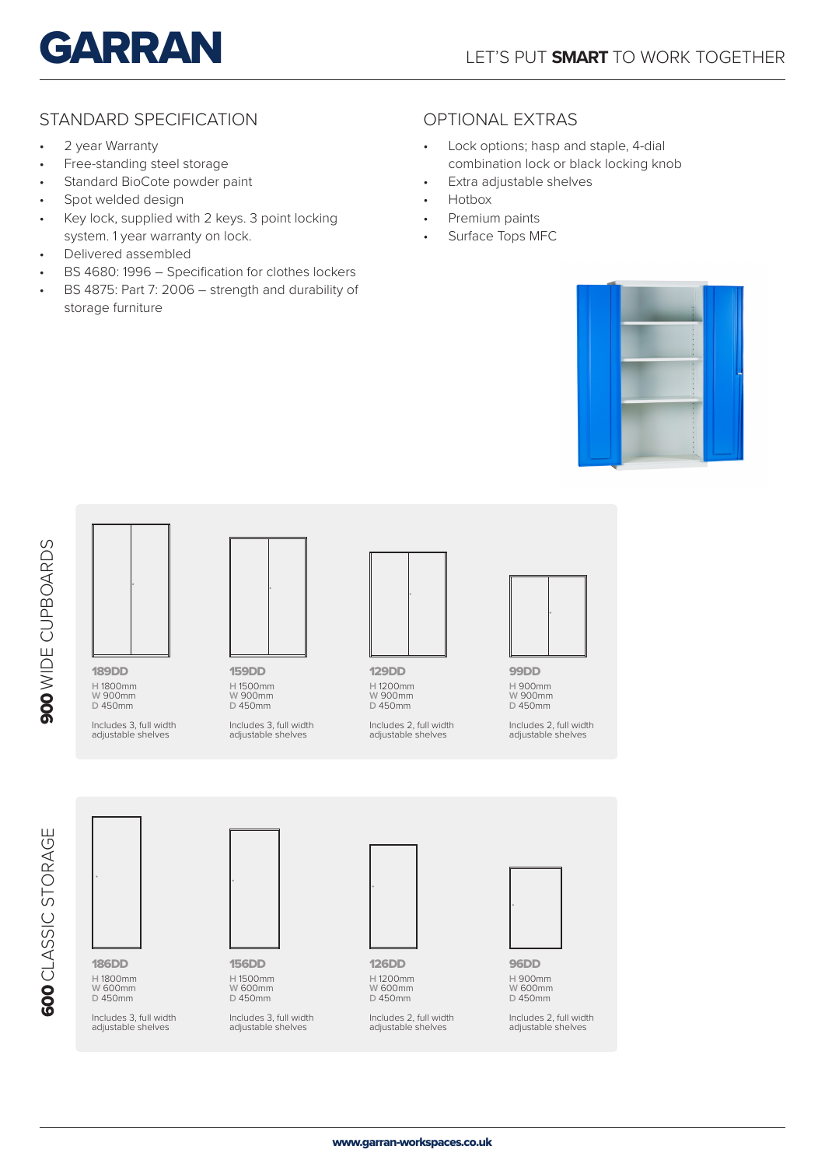

### STANDARD SPECIFICATION **CONTINGLATION** OPTIONAL EXTRAS

- 2 year Warranty
- Free-standing steel storage
- Standard BioCote powder paint
- Spot welded design
- Key lock, supplied with 2 keys. 3 point locking system. 1 year warranty on lock.
- Delivered assembled
- BS 4680: 1996 Specification for clothes lockers
- BS 4875: Part 7: 2006 strength and durability of storage furniture

- Lock options; hasp and staple, 4-dial combination lock or black locking knob
- Extra adjustable shelves
- Hotbox
- Premium paints
- Surface Tops MFC







129DD **H** 1200mm **W** 900mm **D** 450mm

Includes 2, full width adjustable shelves



99DD **H** 900mm **W** 900mm **D** 450mm

Includes 2, full width adjustable shelves



Includes 3, full width adjustable shelves



**D** 450mm Includes 3, full width adjustable shelves



**H** 1200mm **W** 600mm **D** 450mm

Includes 2, full width adjustable shelves



96DD **H** 900mm **W** 600mm **D** 450mm

Includes 2, full width adjustable shelves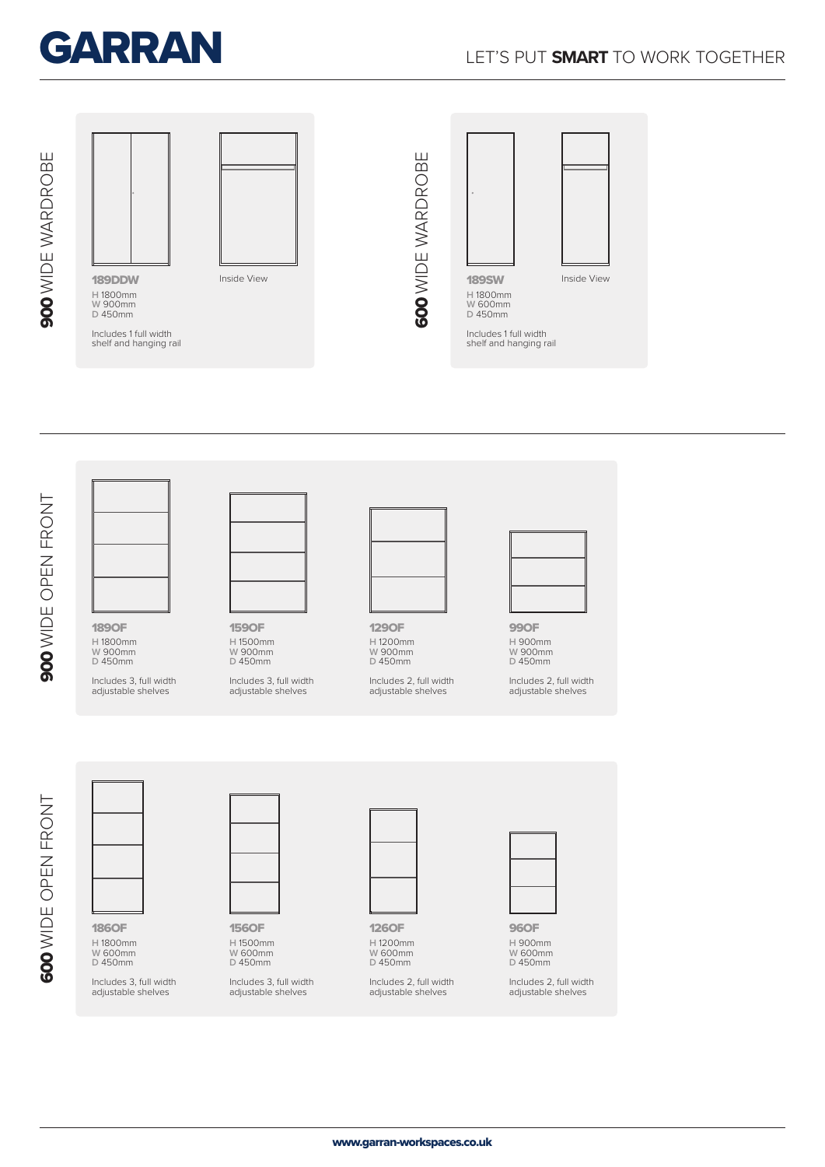



900 WIDE OPEN FRONT 900 WIDE OPEN FRONT

189OF **H** 1800mm

**W** 900mm **D** 450mm

Includes 3, full width adjustable shelves



159OF **H** 1500mm **W** 900mm **D** 450mm

Includes 3, full width adjustable shelves



129OF **H** 1200mm **W** 900mm **D** 450mm

Includes 2, full width adjustable shelves



99OF **H** 900mm **W** 900mm **D** 450mm

Includes 2, full width adjustable shelves

600 WIDE OPEN FRONT 600 WIDE OPEN FRONT

186OF **H** 1800mm **W** 600mm **D** 450mm

Includes 3, full width adjustable shelves



156OF **H** 1500mm **W** 600mm **D** 450mm

Includes 3, full width adjustable shelves



126OF **H** 1200mm **W** 600mm **D** 450mm

Includes 2, full width adjustable shelves



96OF **H** 900mm **W** 600mm **D** 450mm

Includes 2, full width adjustable shelves